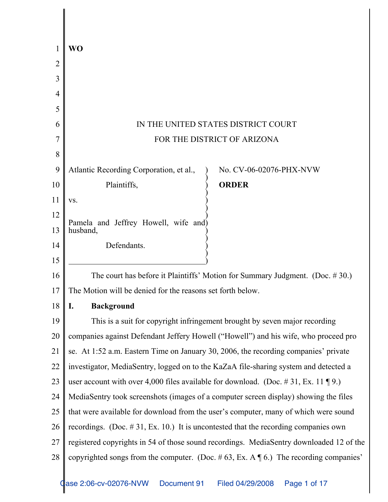|    | WO                                                                                               |  |  |
|----|--------------------------------------------------------------------------------------------------|--|--|
| 2  |                                                                                                  |  |  |
| 3  |                                                                                                  |  |  |
| 4  |                                                                                                  |  |  |
| 5  |                                                                                                  |  |  |
| 6  | IN THE UNITED STATES DISTRICT COURT                                                              |  |  |
|    | FOR THE DISTRICT OF ARIZONA                                                                      |  |  |
| 8  |                                                                                                  |  |  |
| 9  | Atlantic Recording Corporation, et al.,<br>No. CV-06-02076-PHX-NVW                               |  |  |
| 10 | Plaintiffs,<br><b>ORDER</b>                                                                      |  |  |
| 11 | VS.                                                                                              |  |  |
| 12 | Pamela and Jeffrey Howell, wife and)                                                             |  |  |
| 13 | husband,                                                                                         |  |  |
| 14 | Defendants.                                                                                      |  |  |
| 15 |                                                                                                  |  |  |
| 16 | The court has before it Plaintiffs' Motion for Summary Judgment. (Doc. $# 30$ .)                 |  |  |
| 17 | The Motion will be denied for the reasons set forth below.                                       |  |  |
| 18 | <b>Background</b><br>I.                                                                          |  |  |
| 19 | This is a suit for copyright infringement brought by seven major recording                       |  |  |
| 20 | companies against Defendant Jeffery Howell ("Howell") and his wife, who proceed pro              |  |  |
| 21 | se. At 1:52 a.m. Eastern Time on January 30, 2006, the recording companies' private              |  |  |
| 22 | investigator, MediaSentry, logged on to the KaZaA file-sharing system and detected a             |  |  |
| 23 | user account with over 4,000 files available for download. (Doc. #31, Ex. 11 \mum 9.)            |  |  |
| 24 | MediaSentry took screenshots (images of a computer screen display) showing the files             |  |  |
| 25 | that were available for download from the user's computer, many of which were sound              |  |  |
| 26 | recordings. (Doc. $\# 31$ , Ex. 10.) It is uncontested that the recording companies own          |  |  |
| 27 | registered copyrights in 54 of those sound recordings. MediaSentry downloaded 12 of the          |  |  |
| 28 | copyrighted songs from the computer. (Doc. #63, Ex. A $\mathcal{F}$ 6.) The recording companies' |  |  |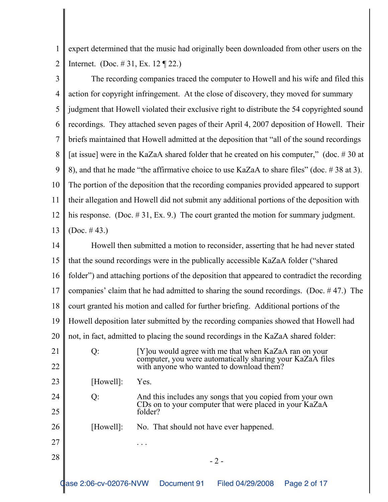1 2 expert determined that the music had originally been downloaded from other users on the Internet. (Doc. # 31, Ex. 12 ¶ 22.)

3 4 5 6 7 8 9 10 11 12 13 The recording companies traced the computer to Howell and his wife and filed this action for copyright infringement. At the close of discovery, they moved for summary judgment that Howell violated their exclusive right to distribute the 54 copyrighted sound recordings. They attached seven pages of their April 4, 2007 deposition of Howell. Their briefs maintained that Howell admitted at the deposition that "all of the sound recordings [at issue] were in the KaZaA shared folder that he created on his computer," (doc. #30 at 8), and that he made "the affirmative choice to use KaZaA to share files" (doc. # 38 at 3). The portion of the deposition that the recording companies provided appeared to support their allegation and Howell did not submit any additional portions of the deposition with his response. (Doc. #31, Ex. 9.) The court granted the motion for summary judgment. (Doc. # 43.)

14 15 16 17 18 19 20 21 22 23 24 25 26 27  $28$   $-2$  -Howell then submitted a motion to reconsider, asserting that he had never stated that the sound recordings were in the publically accessible KaZaA folder ("shared folder") and attaching portions of the deposition that appeared to contradict the recording companies' claim that he had admitted to sharing the sound recordings. (Doc. # 47.) The court granted his motion and called for further briefing. Additional portions of the Howell deposition later submitted by the recording companies showed that Howell had not, in fact, admitted to placing the sound recordings in the KaZaA shared folder: Q: [Y]ou would agree with me that when KaZaA ran on your computer, you were automatically sharing your KaZaA files with anyone who wanted to download them? [Howell]: Yes. Q: And this includes any songs that you copied from your own CDs on to your computer that were placed in your KaZaA folder? [Howell]: No. That should not have ever happened. . . .

Case 2:06-cv-02076-NVW Document 91 Filed 04/29/2008 Page 2 of 17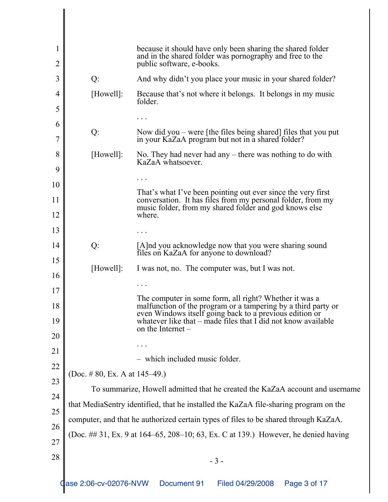| 1<br>2                     |                                                                                      | because it should have only been sharing the shared folder<br>and in the shared folder was pornography and free to the<br>public software, e-books. |  |
|----------------------------|--------------------------------------------------------------------------------------|-----------------------------------------------------------------------------------------------------------------------------------------------------|--|
| 3                          | Q:                                                                                   | And why didn't you place your music in your shared folder?                                                                                          |  |
| 4<br>5                     | [Howell]:                                                                            | Because that's not where it belongs. It belongs in my music<br>folder.                                                                              |  |
|                            |                                                                                      |                                                                                                                                                     |  |
| $\boldsymbol{\theta}$<br>7 | Q:                                                                                   | Now did you $-$ were [the files being shared] files that you put<br>in your KaZaA program but not in a shared folder?                               |  |
| 8                          | [Howell]:                                                                            | No. They had never had any $-$ there was nothing to do with<br>KaZaA whatsoever.                                                                    |  |
| 9                          |                                                                                      |                                                                                                                                                     |  |
| 10                         |                                                                                      | That's what I've been pointing out ever since the very first                                                                                        |  |
| 11<br>12                   |                                                                                      | conversation. It has files from my personal folder, from my<br>music folder, from my shared folder and god knows else<br>where.                     |  |
| 13                         |                                                                                      |                                                                                                                                                     |  |
| 14                         | Q:                                                                                   | [A]nd you acknowledge now that you were sharing sound<br>files on KaZaA for anyone to download?                                                     |  |
| 15<br>16                   | [Howell]:                                                                            | I was not, no. The computer was, but I was not.                                                                                                     |  |
| 17                         |                                                                                      |                                                                                                                                                     |  |
| 18                         |                                                                                      | The computer in some form, all right? Whether it was a<br>malfunction of the program or a tampering by a third party or                             |  |
| 19                         |                                                                                      | even Windows itself going back to a previous edition or<br>whatever like that – made files that I did not know available<br>on the Internet $-$     |  |
| 20                         |                                                                                      |                                                                                                                                                     |  |
| 21                         |                                                                                      | which included music folder.                                                                                                                        |  |
| 22                         |                                                                                      |                                                                                                                                                     |  |
| 23                         | (Doc. #80, Ex. A at $145-49$ .)                                                      |                                                                                                                                                     |  |
| 24                         | To summarize, Howell admitted that he created the KaZaA account and username         |                                                                                                                                                     |  |
| 25                         | that MediaSentry identified, that he installed the KaZaA file-sharing program on the |                                                                                                                                                     |  |
| 26                         | computer, and that he authorized certain types of files to be shared through KaZaA.  |                                                                                                                                                     |  |
| 27                         | (Doc. ## 31, Ex. 9 at 164–65, 208–10; 63, Ex. C at 139.) However, he denied having   |                                                                                                                                                     |  |
| 28                         | $-3-$                                                                                |                                                                                                                                                     |  |
|                            | ase 2:06-cv-02076-NVW                                                                | Document 91<br>Filed 04/29/2008<br>Page 3 of 17                                                                                                     |  |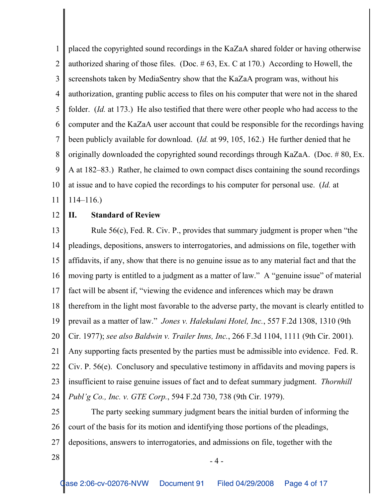1 2 3 4 5 6 7 8 9 10 11 placed the copyrighted sound recordings in the KaZaA shared folder or having otherwise authorized sharing of those files. (Doc.  $# 63$ , Ex. C at 170.) According to Howell, the screenshots taken by MediaSentry show that the KaZaA program was, without his authorization, granting public access to files on his computer that were not in the shared folder. *(Id.* at 173.) He also testified that there were other people who had access to the computer and the KaZaA user account that could be responsible for the recordings having been publicly available for download. (*Id.* at 99, 105, 162.) He further denied that he originally downloaded the copyrighted sound recordings through KaZaA. (Doc. # 80, Ex. A at 182–83.) Rather, he claimed to own compact discs containing the sound recordings at issue and to have copied the recordings to his computer for personal use. (*Id.* at 114–116.)

#### 12 **II. Standard of Review**

13 14 15 16 17 18 19 20 21 22 23 24 Rule 56(c), Fed. R. Civ. P., provides that summary judgment is proper when "the pleadings, depositions, answers to interrogatories, and admissions on file, together with affidavits, if any, show that there is no genuine issue as to any material fact and that the moving party is entitled to a judgment as a matter of law." A "genuine issue" of material fact will be absent if, "viewing the evidence and inferences which may be drawn therefrom in the light most favorable to the adverse party, the movant is clearly entitled to prevail as a matter of law." *Jones v. Halekulani Hotel, Inc.*, 557 F.2d 1308, 1310 (9th Cir. 1977); *see also Baldwin v. Trailer Inns, Inc.*, 266 F.3d 1104, 1111 (9th Cir. 2001). Any supporting facts presented by the parties must be admissible into evidence. Fed. R. Civ. P. 56(e). Conclusory and speculative testimony in affidavits and moving papers is insufficient to raise genuine issues of fact and to defeat summary judgment. *Thornhill Publ'g Co., Inc. v. GTE Corp.*, 594 F.2d 730, 738 (9th Cir. 1979).

25 26 27 The party seeking summary judgment bears the initial burden of informing the court of the basis for its motion and identifying those portions of the pleadings, depositions, answers to interrogatories, and admissions on file, together with the

 $28$   $-4$  -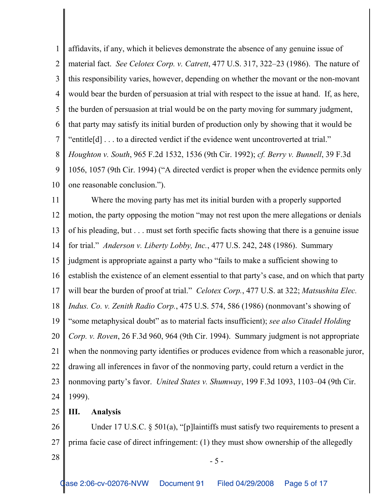1 2 3 4 5 6 7 8 9 10 11 affidavits, if any, which it believes demonstrate the absence of any genuine issue of material fact. *See Celotex Corp. v. Catrett*, 477 U.S. 317, 322–23 (1986). The nature of this responsibility varies, however, depending on whether the movant or the non-movant would bear the burden of persuasion at trial with respect to the issue at hand. If, as here, the burden of persuasion at trial would be on the party moving for summary judgment, that party may satisfy its initial burden of production only by showing that it would be "entitle[d] . . . to a directed verdict if the evidence went uncontroverted at trial." *Houghton v. South*, 965 F.2d 1532, 1536 (9th Cir. 1992); *cf. Berry v. Bunnell*, 39 F.3d 1056, 1057 (9th Cir. 1994) ("A directed verdict is proper when the evidence permits only one reasonable conclusion."). Where the moving party has met its initial burden with a properly supported

12 13 14 15 16 17 18 19 20 21 22 23 24 motion, the party opposing the motion "may not rest upon the mere allegations or denials of his pleading, but . . . must set forth specific facts showing that there is a genuine issue for trial." *Anderson v. Liberty Lobby, Inc.*, 477 U.S. 242, 248 (1986). Summary judgment is appropriate against a party who "fails to make a sufficient showing to establish the existence of an element essential to that party's case, and on which that party will bear the burden of proof at trial." *Celotex Corp.*, 477 U.S. at 322; *Matsushita Elec. Indus. Co. v. Zenith Radio Corp.*, 475 U.S. 574, 586 (1986) (nonmovant's showing of "some metaphysical doubt" as to material facts insufficient); *see also Citadel Holding Corp. v. Roven*, 26 F.3d 960, 964 (9th Cir. 1994). Summary judgment is not appropriate when the nonmoving party identifies or produces evidence from which a reasonable juror, drawing all inferences in favor of the nonmoving party, could return a verdict in the nonmoving party's favor. *United States v. Shumway*, 199 F.3d 1093, 1103–04 (9th Cir. 1999).

25 **III. Analysis**

26 27 Under 17 U.S.C. § 501(a), "[p]laintiffs must satisfy two requirements to present a prima facie case of direct infringement: (1) they must show ownership of the allegedly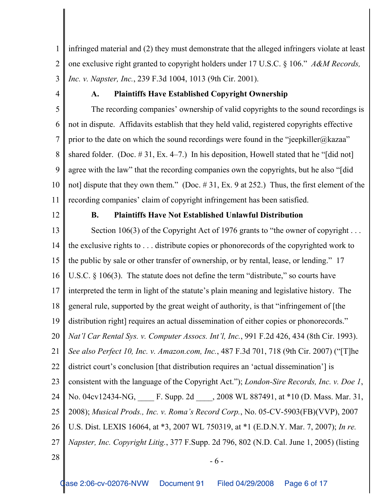1 2 3 infringed material and (2) they must demonstrate that the alleged infringers violate at least one exclusive right granted to copyright holders under 17 U.S.C. § 106." *A&M Records, Inc. v. Napster, Inc.*, 239 F.3d 1004, 1013 (9th Cir. 2001).

4

# **A. Plaintiffs Have Established Copyright Ownership**

5 6 7 8 9 10 11 The recording companies' ownership of valid copyrights to the sound recordings is not in dispute. Affidavits establish that they held valid, registered copyrights effective prior to the date on which the sound recordings were found in the "jeepkiller@kazaa" shared folder. (Doc.  $\# 31$ , Ex. 4–7.) In his deposition, Howell stated that he "[did not] agree with the law" that the recording companies own the copyrights, but he also "[did not] dispute that they own them." (Doc. #31, Ex. 9 at 252.) Thus, the first element of the recording companies' claim of copyright infringement has been satisfied.

12

## **B. Plaintiffs Have Not Established Unlawful Distribution**

13 14 15 16 17 18 19 20 21 22 23 24 25 26 27  $28 \text{ }$  - 6 -Section 106(3) of the Copyright Act of 1976 grants to "the owner of copyright ... the exclusive rights to . . . distribute copies or phonorecords of the copyrighted work to the public by sale or other transfer of ownership, or by rental, lease, or lending." 17 U.S.C.  $\S$  106(3). The statute does not define the term "distribute," so courts have interpreted the term in light of the statute's plain meaning and legislative history. The general rule, supported by the great weight of authority, is that "infringement of [the distribution right] requires an actual dissemination of either copies or phonorecords." *Nat'l Car Rental Sys. v. Computer Assocs. Int'l, Inc.*, 991 F.2d 426, 434 (8th Cir. 1993). *See also Perfect 10, Inc. v. Amazon.com, Inc.*, 487 F.3d 701, 718 (9th Cir. 2007) ("[T]he district court's conclusion [that distribution requires an 'actual dissemination'] is consistent with the language of the Copyright Act."); *London-Sire Records, Inc. v. Doe 1*, No. 04cv12434-NG, \_\_\_\_ F. Supp. 2d \_\_\_\_, 2008 WL 887491, at \*10 (D. Mass. Mar. 31, 2008); *Musical Prods., Inc. v. Roma's Record Corp.*, No. 05-CV-5903(FB)(VVP), 2007 U.S. Dist. LEXIS 16064, at \*3, 2007 WL 750319, at \*1 (E.D.N.Y. Mar. 7, 2007); *In re. Napster, Inc. Copyright Litig.*, 377 F.Supp. 2d 796, 802 (N.D. Cal. June 1, 2005) (listing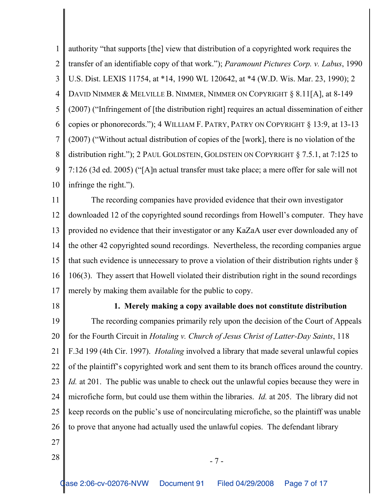1 2 3 4 5 6 7 8 9 10 authority "that supports [the] view that distribution of a copyrighted work requires the transfer of an identifiable copy of that work."); *Paramount Pictures Corp. v. Labus*, 1990 U.S. Dist. LEXIS 11754, at \*14, 1990 WL 120642, at \*4 (W.D. Wis. Mar. 23, 1990); 2 DAVID NIMMER & MELVILLE B. NIMMER, NIMMER ON COPYRIGHT § 8.11[A], at 8-149 (2007) ("Infringement of [the distribution right] requires an actual dissemination of either copies or phonorecords."); 4 WILLIAM F. PATRY, PATRY ON COPYRIGHT § 13:9, at 13-13 (2007) ("Without actual distribution of copies of the [work], there is no violation of the distribution right."); 2 PAUL GOLDSTEIN, GOLDSTEIN ON COPYRIGHT § 7.5.1, at 7:125 to 7:126 (3d ed. 2005) ("[A]n actual transfer must take place; a mere offer for sale will not infringe the right.").

11 12 13 14 15 16 17 The recording companies have provided evidence that their own investigator downloaded 12 of the copyrighted sound recordings from Howell's computer. They have provided no evidence that their investigator or any KaZaA user ever downloaded any of the other 42 copyrighted sound recordings. Nevertheless, the recording companies argue that such evidence is unnecessary to prove a violation of their distribution rights under § 106(3). They assert that Howell violated their distribution right in the sound recordings merely by making them available for the public to copy.

18

### **1. Merely making a copy available does not constitute distribution**

19 20 21 22 23 24 25 26 The recording companies primarily rely upon the decision of the Court of Appeals for the Fourth Circuit in *Hotaling v. Church of Jesus Christ of Latter-Day Saints*, 118 F.3d 199 (4th Cir. 1997). *Hotaling* involved a library that made several unlawful copies of the plaintiff's copyrighted work and sent them to its branch offices around the country. *Id.* at 201. The public was unable to check out the unlawful copies because they were in microfiche form, but could use them within the libraries. *Id.* at 205. The library did not keep records on the public's use of noncirculating microfiche, so the plaintiff was unable to prove that anyone had actually used the unlawful copies. The defendant library

- 27
- $28 \parallel$  7 -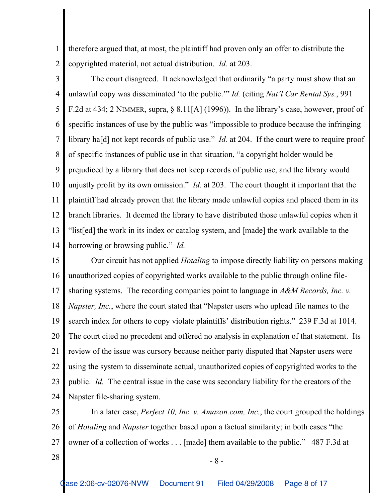1 2 therefore argued that, at most, the plaintiff had proven only an offer to distribute the copyrighted material, not actual distribution. *Id.* at 203.

3 4 5 6 7 8 9 10 11 12 13 14 The court disagreed. It acknowledged that ordinarily "a party must show that an unlawful copy was disseminated 'to the public.'" *Id.* (citing *Nat'l Car Rental Sys.*, 991 F.2d at 434; 2 NIMMER, supra, § 8.11[A] (1996)). In the library's case, however, proof of specific instances of use by the public was "impossible to produce because the infringing library ha[d] not kept records of public use." *Id.* at 204. If the court were to require proof of specific instances of public use in that situation, "a copyright holder would be prejudiced by a library that does not keep records of public use, and the library would unjustly profit by its own omission." *Id.* at 203. The court thought it important that the plaintiff had already proven that the library made unlawful copies and placed them in its branch libraries. It deemed the library to have distributed those unlawful copies when it "list[ed] the work in its index or catalog system, and [made] the work available to the borrowing or browsing public." *Id.*

15 16 17 18 19 20 21 22 23 24 Our circuit has not applied *Hotaling* to impose directly liability on persons making unauthorized copies of copyrighted works available to the public through online filesharing systems. The recording companies point to language in *A&M Records, Inc. v. Napster, Inc.*, where the court stated that "Napster users who upload file names to the search index for others to copy violate plaintiffs' distribution rights." 239 F.3d at 1014. The court cited no precedent and offered no analysis in explanation of that statement. Its review of the issue was cursory because neither party disputed that Napster users were using the system to disseminate actual, unauthorized copies of copyrighted works to the public. *Id.* The central issue in the case was secondary liability for the creators of the Napster file-sharing system.

25 26 27 In a later case, *Perfect 10, Inc. v. Amazon.com, Inc.*, the court grouped the holdings of *Hotaling* and *Napster* together based upon a factual similarity; in both cases "the owner of a collection of works . . . [made] them available to the public." 487 F.3d at

 $28 \parallel -8 -$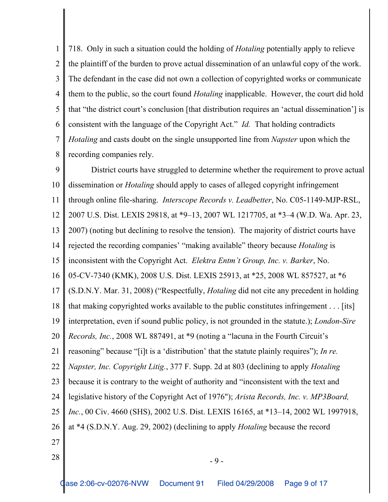1 2 3 4 5 6 7 8 718. Only in such a situation could the holding of *Hotaling* potentially apply to relieve the plaintiff of the burden to prove actual dissemination of an unlawful copy of the work. The defendant in the case did not own a collection of copyrighted works or communicate them to the public, so the court found *Hotaling* inapplicable. However, the court did hold that "the district court's conclusion [that distribution requires an 'actual dissemination'] is consistent with the language of the Copyright Act." *Id.* That holding contradicts *Hotaling* and casts doubt on the single unsupported line from *Napster* upon which the recording companies rely.

9 10 11 12 13 14 15 16 17 18 19 20 21 22 23 24 25 26 27  $28$   $-9$  -District courts have struggled to determine whether the requirement to prove actual dissemination or *Hotaling* should apply to cases of alleged copyright infringement through online file-sharing. *Interscope Records v. Leadbetter*, No. C05-1149-MJP-RSL, 2007 U.S. Dist. LEXIS 29818, at \*9–13, 2007 WL 1217705, at \*3–4 (W.D. Wa. Apr. 23, 2007) (noting but declining to resolve the tension). The majority of district courts have rejected the recording companies' "making available" theory because *Hotaling* is inconsistent with the Copyright Act. *Elektra Entm't Group, Inc. v. Barker*, No. 05-CV-7340 (KMK), 2008 U.S. Dist. LEXIS 25913, at \*25, 2008 WL 857527, at \*6 (S.D.N.Y. Mar. 31, 2008) ("Respectfully, *Hotaling* did not cite any precedent in holding that making copyrighted works available to the public constitutes infringement . . . [its] interpretation, even if sound public policy, is not grounded in the statute.); *London-Sire Records, Inc.*, 2008 WL 887491, at \*9 (noting a "lacuna in the Fourth Circuit's reasoning" because "[i]t is a 'distribution' that the statute plainly requires"); *In re. Napster, Inc. Copyright Litig.*, 377 F. Supp. 2d at 803 (declining to apply *Hotaling* because it is contrary to the weight of authority and "inconsistent with the text and legislative history of the Copyright Act of 1976"); *Arista Records, Inc. v. MP3Board, Inc.*, 00 Civ. 4660 (SHS), 2002 U.S. Dist. LEXIS 16165, at \*13–14, 2002 WL 1997918, at \*4 (S.D.N.Y. Aug. 29, 2002) (declining to apply *Hotaling* because the record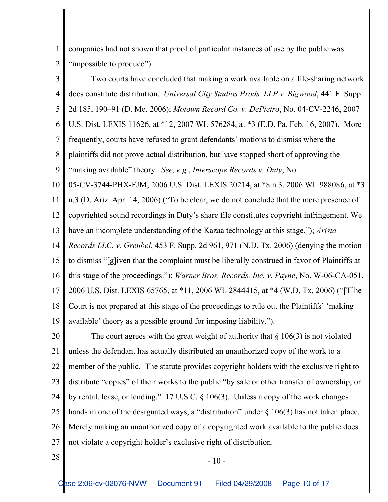1 2 companies had not shown that proof of particular instances of use by the public was "impossible to produce").

3 4 5 6 7 8 9 10 11 12 13 14 15 16 17 18 19 Two courts have concluded that making a work available on a file-sharing network does constitute distribution. *Universal City Studios Prods. LLP v. Bigwood*, 441 F. Supp. 2d 185, 190–91 (D. Me. 2006); *Motown Record Co. v. DePietro*, No. 04-CV-2246, 2007 U.S. Dist. LEXIS 11626, at \*12, 2007 WL 576284, at \*3 (E.D. Pa. Feb. 16, 2007). More frequently, courts have refused to grant defendants' motions to dismiss where the plaintiffs did not prove actual distribution, but have stopped short of approving the "making available" theory. *See, e.g.*, *Interscope Records v. Duty*, No. 05-CV-3744-PHX-FJM, 2006 U.S. Dist. LEXIS 20214, at \*8 n.3, 2006 WL 988086, at \*3 n.3 (D. Ariz. Apr. 14, 2006) ("To be clear, we do not conclude that the mere presence of copyrighted sound recordings in Duty's share file constitutes copyright infringement. We have an incomplete understanding of the Kazaa technology at this stage."); *Arista Records LLC. v. Greubel*, 453 F. Supp. 2d 961, 971 (N.D. Tx. 2006) (denying the motion to dismiss "[g]iven that the complaint must be liberally construed in favor of Plaintiffs at this stage of the proceedings."); *Warner Bros. Records, Inc. v. Payne*, No. W-06-CA-051, 2006 U.S. Dist. LEXIS 65765, at \*11, 2006 WL 2844415, at \*4 (W.D. Tx. 2006) ("[T]he Court is not prepared at this stage of the proceedings to rule out the Plaintiffs' 'making available' theory as a possible ground for imposing liability.").

20 21 22 23 24 25 26 27 The court agrees with the great weight of authority that  $\S 106(3)$  is not violated unless the defendant has actually distributed an unauthorized copy of the work to a member of the public. The statute provides copyright holders with the exclusive right to distribute "copies" of their works to the public "by sale or other transfer of ownership, or by rental, lease, or lending." 17 U.S.C. § 106(3). Unless a copy of the work changes hands in one of the designated ways, a "distribution" under § 106(3) has not taken place. Merely making an unauthorized copy of a copyrighted work available to the public does not violate a copyright holder's exclusive right of distribution.

 $28 \parallel -10 -$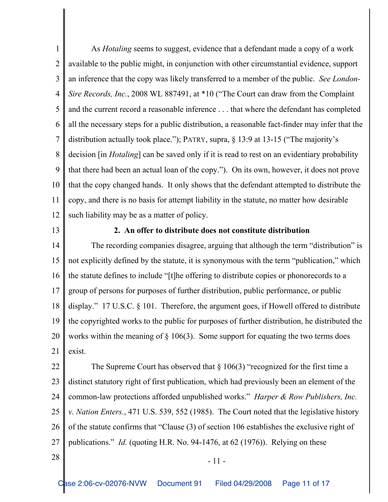1 2 3 4 5 6 7 8 9 10 11 12 As *Hotaling* seems to suggest, evidence that a defendant made a copy of a work available to the public might, in conjunction with other circumstantial evidence, support an inference that the copy was likely transferred to a member of the public. *See London-Sire Records, Inc.*, 2008 WL 887491, at \*10 ("The Court can draw from the Complaint and the current record a reasonable inference . . . that where the defendant has completed all the necessary steps for a public distribution, a reasonable fact-finder may infer that the distribution actually took place."); PATRY, supra, § 13:9 at 13-15 ("The majority's decision [in *Hotaling*] can be saved only if it is read to rest on an evidentiary probability that there had been an actual loan of the copy."). On its own, however, it does not prove that the copy changed hands. It only shows that the defendant attempted to distribute the copy, and there is no basis for attempt liability in the statute, no matter how desirable such liability may be as a matter of policy.

13

### **2. An offer to distribute does not constitute distribution**

14 15 16 17 18 19 20 21 The recording companies disagree, arguing that although the term "distribution" is not explicitly defined by the statute, it is synonymous with the term "publication," which the statute defines to include "[t]he offering to distribute copies or phonorecords to a group of persons for purposes of further distribution, public performance, or public display." 17 U.S.C. § 101. Therefore, the argument goes, if Howell offered to distribute the copyrighted works to the public for purposes of further distribution, he distributed the works within the meaning of  $\S$  106(3). Some support for equating the two terms does exist.

22 23 24 25 26 27 The Supreme Court has observed that  $\S 106(3)$  "recognized for the first time a distinct statutory right of first publication, which had previously been an element of the common-law protections afforded unpublished works." *Harper & Row Publishers, Inc. v. Nation Enters.*, 471 U.S. 539, 552 (1985). The Court noted that the legislative history of the statute confirms that "Clause (3) of section 106 establishes the exclusive right of publications." *Id.* (quoting H.R. No. 94-1476, at 62 (1976)). Relying on these

 $28$   $-11$  -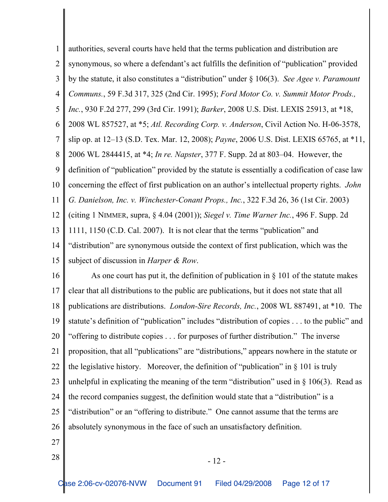1 2 3 4 5 6 7 8 9 10 11 12 13 14 15 authorities, several courts have held that the terms publication and distribution are synonymous, so where a defendant's act fulfills the definition of "publication" provided by the statute, it also constitutes a "distribution" under § 106(3). *See Agee v. Paramount Communs.*, 59 F.3d 317, 325 (2nd Cir. 1995); *Ford Motor Co. v. Summit Motor Prods., Inc.*, 930 F.2d 277, 299 (3rd Cir. 1991); *Barker*, 2008 U.S. Dist. LEXIS 25913, at \*18, 2008 WL 857527, at \*5; *Atl. Recording Corp. v. Anderson*, Civil Action No. H-06-3578, slip op. at 12–13 (S.D. Tex. Mar. 12, 2008); *Payne*, 2006 U.S. Dist. LEXIS 65765, at \*11, 2006 WL 2844415, at \*4; *In re. Napster*, 377 F. Supp. 2d at 803–04. However, the definition of "publication" provided by the statute is essentially a codification of case law concerning the effect of first publication on an author's intellectual property rights. *John G. Danielson, Inc. v. Winchester-Conant Props., Inc.*, 322 F.3d 26, 36 (1st Cir. 2003) (citing 1 NIMMER, supra, § 4.04 (2001)); *Siegel v. Time Warner Inc.*, 496 F. Supp. 2d 1111, 1150 (C.D. Cal. 2007). It is not clear that the terms "publication" and "distribution" are synonymous outside the context of first publication, which was the subject of discussion in *Harper & Row*.

16 17 18 19 20 21 22 23 24 25 26 As one court has put it, the definition of publication in  $\S$  101 of the statute makes clear that all distributions to the public are publications, but it does not state that all publications are distributions. *London-Sire Records, Inc.*, 2008 WL 887491, at \*10. The statute's definition of "publication" includes "distribution of copies . . . to the public" and "offering to distribute copies . . . for purposes of further distribution." The inverse proposition, that all "publications" are "distributions," appears nowhere in the statute or the legislative history. Moreover, the definition of "publication" in § 101 is truly unhelpful in explicating the meaning of the term "distribution" used in  $\S$  106(3). Read as the record companies suggest, the definition would state that a "distribution" is a "distribution" or an "offering to distribute." One cannot assume that the terms are absolutely synonymous in the face of such an unsatisfactory definition.

- 27
- $28$   $-12$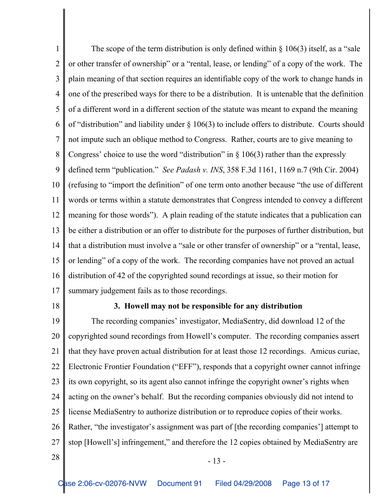1 2 3 4 5 6 7 8 9 10 11 12 13 14 15 16 17 The scope of the term distribution is only defined within  $\S$  106(3) itself, as a "sale or other transfer of ownership" or a "rental, lease, or lending" of a copy of the work. The plain meaning of that section requires an identifiable copy of the work to change hands in one of the prescribed ways for there to be a distribution. It is untenable that the definition of a different word in a different section of the statute was meant to expand the meaning of "distribution" and liability under § 106(3) to include offers to distribute. Courts should not impute such an oblique method to Congress. Rather, courts are to give meaning to Congress' choice to use the word "distribution" in  $\S$  106(3) rather than the expressly defined term "publication." *See Padash v. INS*, 358 F.3d 1161, 1169 n.7 (9th Cir. 2004) (refusing to "import the definition" of one term onto another because "the use of different words or terms within a statute demonstrates that Congress intended to convey a different meaning for those words"). A plain reading of the statute indicates that a publication can be either a distribution or an offer to distribute for the purposes of further distribution, but that a distribution must involve a "sale or other transfer of ownership" or a "rental, lease, or lending" of a copy of the work. The recording companies have not proved an actual distribution of 42 of the copyrighted sound recordings at issue, so their motion for summary judgement fails as to those recordings.

18

#### **3. Howell may not be responsible for any distribution**

19 20 21 22 23 24 25 26 27  $28 \parallel$  - 13 -The recording companies' investigator, MediaSentry, did download 12 of the copyrighted sound recordings from Howell's computer. The recording companies assert that they have proven actual distribution for at least those 12 recordings. Amicus curiae, Electronic Frontier Foundation ("EFF"), responds that a copyright owner cannot infringe its own copyright, so its agent also cannot infringe the copyright owner's rights when acting on the owner's behalf. But the recording companies obviously did not intend to license MediaSentry to authorize distribution or to reproduce copies of their works. Rather, "the investigator's assignment was part of [the recording companies'] attempt to stop [Howell's] infringement," and therefore the 12 copies obtained by MediaSentry are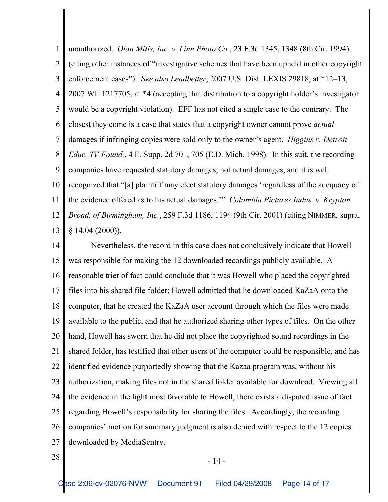1 2 3 4 5 6 7 8 9 10 11 12 13 unauthorized. *Olan Mills, Inc. v. Linn Photo Co.*, 23 F.3d 1345, 1348 (8th Cir. 1994) (citing other instances of "investigative schemes that have been upheld in other copyright enforcement cases"). *See also Leadbetter*, 2007 U.S. Dist. LEXIS 29818, at \*12–13, 2007 WL 1217705, at \*4 (accepting that distribution to a copyright holder's investigator would be a copyright violation). EFF has not cited a single case to the contrary. The closest they come is a case that states that a copyright owner cannot prove *actual* damages if infringing copies were sold only to the owner's agent. *Higgins v. Detroit Educ. TV Found.*, 4 F. Supp. 2d 701, 705 (E.D. Mich. 1998). In this suit, the recording companies have requested statutory damages, not actual damages, and it is well recognized that "[a] plaintiff may elect statutory damages 'regardless of the adequacy of the evidence offered as to his actual damages.'" *Columbia Pictures Indus. v. Krypton Broad. of Birmingham, Inc.*, 259 F.3d 1186, 1194 (9th Cir. 2001) (citing NIMMER, supra, § 14.04 (2000)).

14 15 16 17 18 19 20 21 22 23 24 25 26 27 Nevertheless, the record in this case does not conclusively indicate that Howell was responsible for making the 12 downloaded recordings publicly available. A reasonable trier of fact could conclude that it was Howell who placed the copyrighted files into his shared file folder; Howell admitted that he downloaded KaZaA onto the computer, that he created the KaZaA user account through which the files were made available to the public, and that he authorized sharing other types of files. On the other hand, Howell has sworn that he did not place the copyrighted sound recordings in the shared folder, has testified that other users of the computer could be responsible, and has identified evidence purportedly showing that the Kazaa program was, without his authorization, making files not in the shared folder available for download. Viewing all the evidence in the light most favorable to Howell, there exists a disputed issue of fact regarding Howell's responsibility for sharing the files. Accordingly, the recording companies' motion for summary judgment is also denied with respect to the 12 copies downloaded by MediaSentry.

 $28$   $-14$  -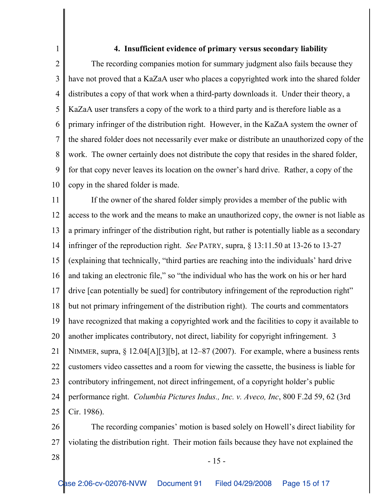## **4. Insufficient evidence of primary versus secondary liability**

2 3 4 5 6 7 8 9 10 The recording companies motion for summary judgment also fails because they have not proved that a KaZaA user who places a copyrighted work into the shared folder distributes a copy of that work when a third-party downloads it. Under their theory, a KaZaA user transfers a copy of the work to a third party and is therefore liable as a primary infringer of the distribution right. However, in the KaZaA system the owner of the shared folder does not necessarily ever make or distribute an unauthorized copy of the work. The owner certainly does not distribute the copy that resides in the shared folder, for that copy never leaves its location on the owner's hard drive. Rather, a copy of the copy in the shared folder is made.

11 12 13 14 15 16 17 18 19 20 21 22 23 24 25 If the owner of the shared folder simply provides a member of the public with access to the work and the means to make an unauthorized copy, the owner is not liable as a primary infringer of the distribution right, but rather is potentially liable as a secondary infringer of the reproduction right. *See* PATRY, supra, § 13:11.50 at 13-26 to 13-27 (explaining that technically, "third parties are reaching into the individuals' hard drive and taking an electronic file," so "the individual who has the work on his or her hard drive [can potentially be sued] for contributory infringement of the reproduction right" but not primary infringement of the distribution right). The courts and commentators have recognized that making a copyrighted work and the facilities to copy it available to another implicates contributory, not direct, liability for copyright infringement. 3 NIMMER, supra, § 12.04[A][3][b], at 12–87 (2007). For example, where a business rents customers video cassettes and a room for viewing the cassette, the business is liable for contributory infringement, not direct infringement, of a copyright holder's public performance right. *Columbia Pictures Indus., Inc. v. Aveco, Inc*, 800 F.2d 59, 62 (3rd Cir. 1986).

26 27 The recording companies' motion is based solely on Howell's direct liability for violating the distribution right. Their motion fails because they have not explained the

1

 $28 \parallel$  - 15 -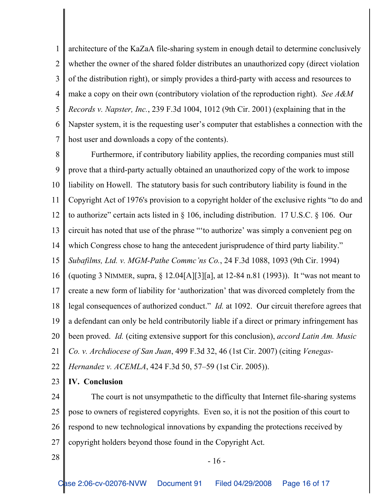1 2 3 4 5 6 7 architecture of the KaZaA file-sharing system in enough detail to determine conclusively whether the owner of the shared folder distributes an unauthorized copy (direct violation of the distribution right), or simply provides a third-party with access and resources to make a copy on their own (contributory violation of the reproduction right). *See A&M Records v. Napster, Inc.*, 239 F.3d 1004, 1012 (9th Cir. 2001) (explaining that in the Napster system, it is the requesting user's computer that establishes a connection with the host user and downloads a copy of the contents).

8 9 10 11 12 13 14 15 16 17 18 19 20 21 22 Furthermore, if contributory liability applies, the recording companies must still prove that a third-party actually obtained an unauthorized copy of the work to impose liability on Howell. The statutory basis for such contributory liability is found in the Copyright Act of 1976's provision to a copyright holder of the exclusive rights "to do and to authorize" certain acts listed in § 106, including distribution. 17 U.S.C. § 106. Our circuit has noted that use of the phrase "'to authorize' was simply a convenient peg on which Congress chose to hang the antecedent jurisprudence of third party liability." *Subafilms, Ltd. v. MGM-Pathe Commc'ns Co.*, 24 F.3d 1088, 1093 (9th Cir. 1994) (quoting 3 NIMMER, supra, § 12.04[A][3][a], at 12-84 n.81 (1993)). It "was not meant to create a new form of liability for 'authorization' that was divorced completely from the legal consequences of authorized conduct." *Id.* at 1092. Our circuit therefore agrees that a defendant can only be held contributorily liable if a direct or primary infringement has been proved. *Id.* (citing extensive support for this conclusion), *accord Latin Am. Music Co. v. Archdiocese of San Juan*, 499 F.3d 32, 46 (1st Cir. 2007) (citing *Venegas-Hernandez v. ACEMLA*, 424 F.3d 50, 57–59 (1st Cir. 2005)).

23 **IV. Conclusion**

24 25 26 27 The court is not unsympathetic to the difficulty that Internet file-sharing systems pose to owners of registered copyrights. Even so, it is not the position of this court to respond to new technological innovations by expanding the protections received by copyright holders beyond those found in the Copyright Act.

 $28 \parallel$  - 16 -